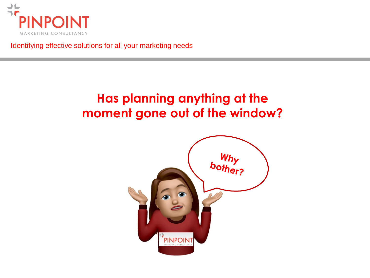

Identifying effective solutions for all your marketing needs

## **Has planning anything at the moment gone out of the window?**

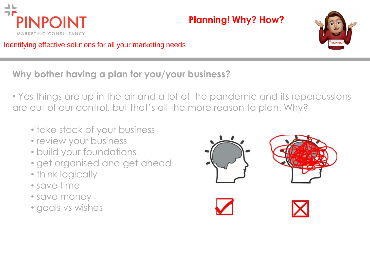

Identifying effective solutions for all your marketing needs



**Why bother having a plan for you/your business?**

• Yes things are up in the air and a lot of the pandemic and its repercussions are out of our control, but that's all the more reason to plan. Why?

- take stock of your business
- review your business
- build your foundations
- get organised and get ahead
- think logically
- save time
- save money
- goals vs wishes

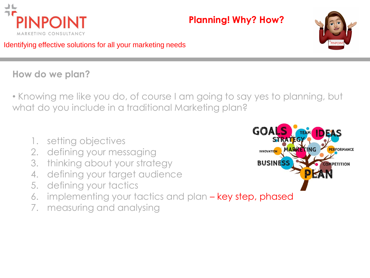



Identifying effective solutions for all your marketing needs

#### **How do we plan?**

• Knowing me like you do, of course I am going to say yes to planning, but what do you include in a traditional Marketing plan?

- 1. setting objectives
- 2. defining your messaging
- 3. thinking about your strategy
- 4. defining your target audience
- 5. defining your tactics
- 6. implementing your tactics and plan key step, phased
- 7. measuring and analysing

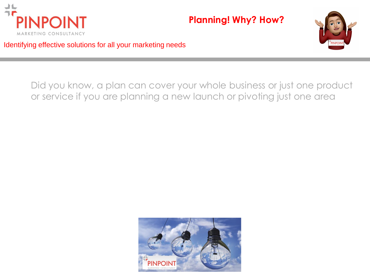



Identifying effective solutions for all your marketing needs

Did you know, a plan can cover your whole business or just one product or service if you are planning a new launch or pivoting just one area

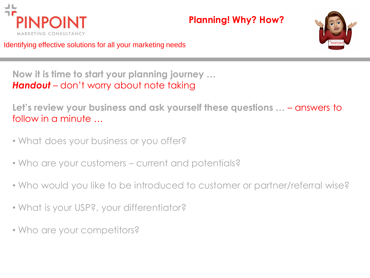



Identifying effective solutions for all your marketing needs

**Now it is time to start your planning journey …** *Handout* – don't worry about note taking

**Let's review your business and ask yourself these questions …** – answers to follow in a minute …

- What does your business or you offer?
- Who are your customers current and potentials?
- Who would you like to be introduced to customer or partner/referral wise?
- What is your USP?, your differentiator?
- Who are your competitors?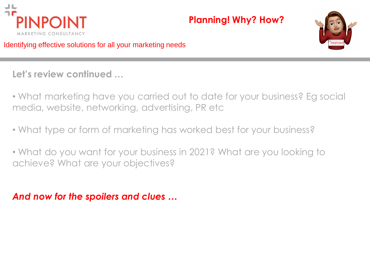



Identifying effective solutions for all your marketing needs

**Let's review continued …**

- What marketing have you carried out to date for your business? Eg social media, website, networking, advertising, PR etc
- What type or form of marketing has worked best for your business?
- What do you want for your business in 2021? What are you looking to achieve? What are your objectives?

*And now for the spoilers and clues …*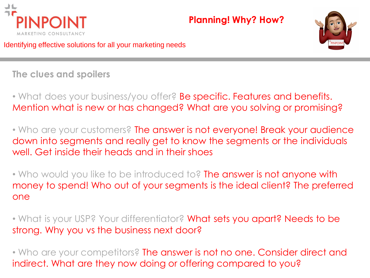



Identifying effective solutions for all your marketing needs

**The clues and spoilers** 

• What does your business/you offer? Be specific. Features and benefits. Mention what is new or has changed? What are you solving or promising?

• Who are your customers? The answer is not everyone! Break your audience down into segments and really get to know the segments or the individuals well. Get inside their heads and in their shoes

• Who would you like to be introduced to? The answer is not anyone with money to spend! Who out of your segments is the ideal client? The preferred one

• What is your USP? Your differentiator? What sets you apart? Needs to be strong. Why you vs the business next door?

• Who are your competitors? The answer is not no one. Consider direct and indirect. What are they now doing or offering compared to you?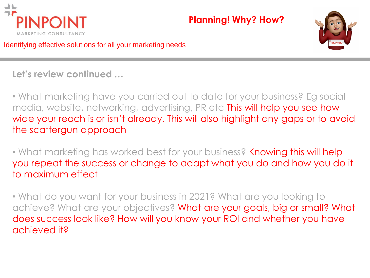



Identifying effective solutions for all your marketing needs

**Let's review continued …**

• What marketing have you carried out to date for your business? Eg social media, website, networking, advertising, PR etc This will help you see how wide your reach is or isn't already. This will also highlight any gaps or to avoid the scattergun approach

• What marketing has worked best for your business? Knowing this will help you repeat the success or change to adapt what you do and how you do it to maximum effect

• What do you want for your business in 2021? What are you looking to achieve? What are your objectives? What are your goals, big or small? What does success look like? How will you know your ROI and whether you have achieved it?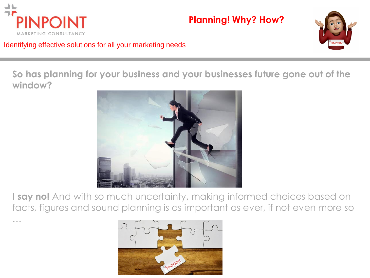

…

#### **Planning! Why? How?**



Identifying effective solutions for all your marketing needs

**So has planning for your business and your businesses future gone out of the window?**



**I say no!** And with so much uncertainty, making informed choices based on facts, figures and sound planning is as important as ever, if not even more so